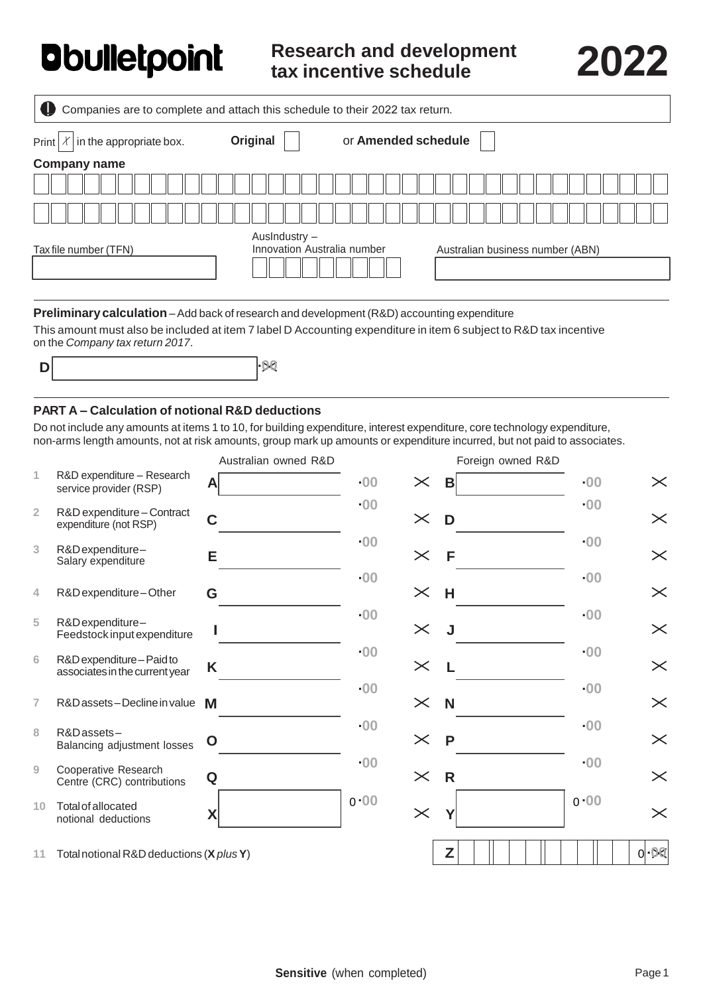# **Obulletpoint**

**Research and development tax incentive schedule**

| $\bullet$<br>Companies are to complete and attach this schedule to their 2022 tax return. |                                              |                                  |  |  |  |  |  |
|-------------------------------------------------------------------------------------------|----------------------------------------------|----------------------------------|--|--|--|--|--|
| Print $X$ in the appropriate box.                                                         | Original                                     | or Amended schedule              |  |  |  |  |  |
| <b>Company name</b>                                                                       |                                              |                                  |  |  |  |  |  |
|                                                                                           |                                              |                                  |  |  |  |  |  |
|                                                                                           |                                              |                                  |  |  |  |  |  |
| Tax file number (TFN)                                                                     | AusIndustry -<br>Innovation Australia number | Australian business number (ABN) |  |  |  |  |  |

## **Preliminary calculation** – Add back of research and development (R&D) accounting expenditure

This amount must also be included at item 7 label D Accounting expenditure in item 6 subject to R&D tax incentive on the *Company tax return 2017*.

# **PART A – Calculation of notional R&D deductions**

Do not include any amounts at items 1 to 10, for building expenditure, interest expenditure, core technology expenditure, non-arms length amounts, not at risk amounts, group mark up amounts or expenditure incurred, but not paid to associates.

|            |                                                             | Australian owned R&D |          |          | Foreign owned R&D |       |          |
|------------|-------------------------------------------------------------|----------------------|----------|----------|-------------------|-------|----------|
| -1         | R&D expenditure - Research<br>service provider (RSP)        | $\mathsf{A}$         | $-00$    | $\times$ | B                 | $-00$ | $\times$ |
| $\sqrt{2}$ | R&D expenditure - Contract<br>expenditure (not RSP)         | C                    | $-00$    | $\times$ | D                 | $-00$ | $\times$ |
| 3          | R&Dexpenditure-<br>Salary expenditure                       | Е                    | $-00$    | $\times$ | F                 | $-00$ | $\times$ |
| 4          | R&D expenditure-Other                                       | G                    | $-00$    | $\times$ | H                 | $-00$ | $\times$ |
| 5          | R&Dexpenditure-<br>Feedstock input expenditure              |                      | $-00$    | $\times$ | J                 | $-00$ | $\times$ |
| 6          | R&D expenditure - Paid to<br>associates in the current year | K                    | $-00$    | $\times$ |                   | $-00$ | $\times$ |
| 7          | R&D assets - Decline in value                               | M                    | $-00$    | $\times$ | N                 | $-00$ | $\times$ |
| 8          | R&Dassets-<br>Balancing adjustment losses                   | O                    | $-00$    | $\times$ | P                 | $-00$ | $\times$ |
| 9          | Cooperative Research<br>Centre (CRC) contributions          | Q                    | $-00$    | $\times$ | R                 | $-00$ | $\times$ |
| 10         | Total of allocated<br>notional deductions                   | X                    | $0 - 00$ | $\times$ | Y                 | 0.00  | $\times$ |
| 11         | Total notional R&D deductions (X plus Y)                    |                      |          |          | Z                 |       | $0 - 00$ |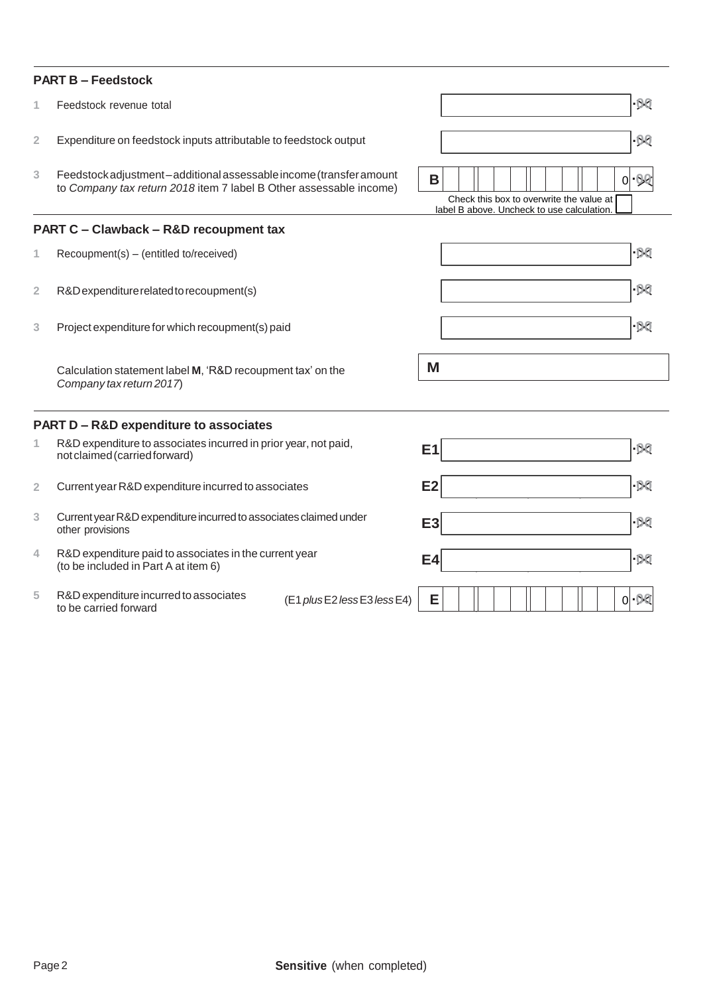# **PART B – Feedstock**

| 1              | Feedstock revenue total                                                                                                                  | -1919                                                                                                       |
|----------------|------------------------------------------------------------------------------------------------------------------------------------------|-------------------------------------------------------------------------------------------------------------|
| $\overline{2}$ | Expenditure on feedstock inputs attributable to feedstock output                                                                         | -90                                                                                                         |
| 3              | Feedstock adjustment-additional assessable income (transfer amount<br>to Company tax return 2018 item 7 label B Other assessable income) | B<br>-96<br> 0 <br>Check this box to overwrite the value at a<br>label B above. Uncheck to use calculation. |
|                | <b>PART C - Clawback - R&amp;D recoupment tax</b>                                                                                        |                                                                                                             |
| 1              | Recoupment(s) – (entitled to/received)                                                                                                   | -198                                                                                                        |
| $\overline{2}$ | R&D expenditure related to recoupment(s)                                                                                                 | -190                                                                                                        |
| 3              | Project expenditure for which recoupment(s) paid                                                                                         | -190                                                                                                        |
|                | Calculation statement label M, 'R&D recoupment tax' on the<br>Company tax return 2017)                                                   | M                                                                                                           |
|                | <b>PART D - R&amp;D expenditure to associates</b>                                                                                        |                                                                                                             |
| 1              | R&D expenditure to associates incurred in prior year, not paid,<br>not claimed (carried forward)                                         | -194<br>E1                                                                                                  |
| $\overline{2}$ | Current year R&D expenditure incurred to associates                                                                                      | -1981<br>E2                                                                                                 |
| 3              | Current year R&D expenditure incurred to associates claimed under<br>other provisions                                                    | -190<br>E <sub>3</sub>                                                                                      |
| 4              | R&D expenditure paid to associates in the current year<br>(to be included in Part A at item 6)                                           | -134<br>E <sub>4</sub>                                                                                      |
| 5              | R&D expenditure incurred to associates<br>(E1 plus E2 less E3 less E4)<br>to be carried forward                                          | Е<br>-90<br>ΩI                                                                                              |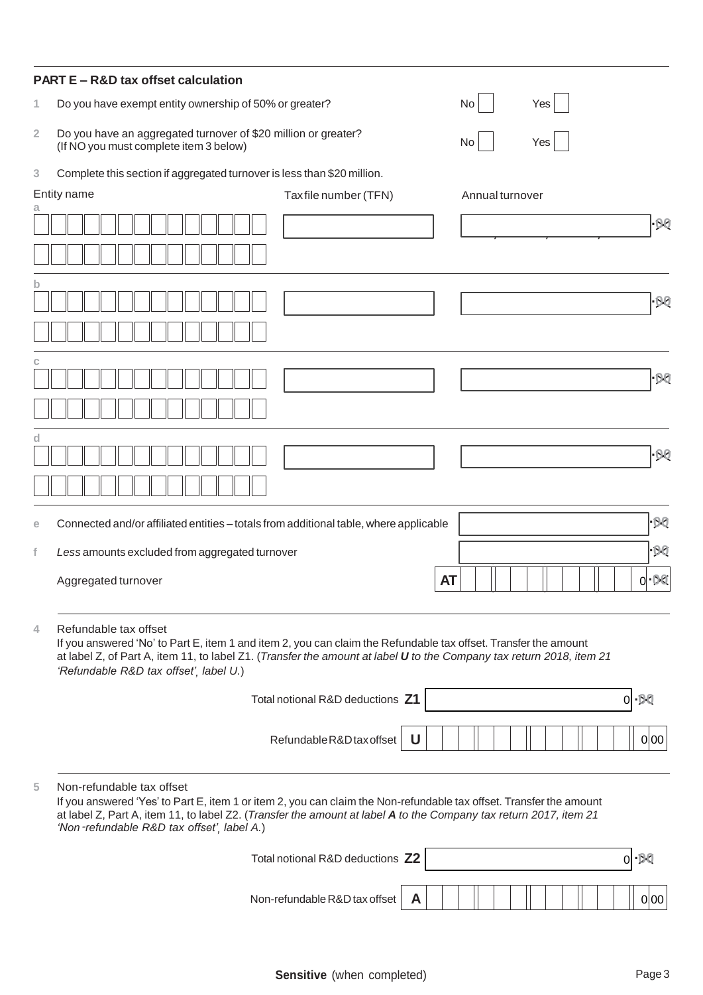|                | <b>PART E - R&amp;D tax offset calculation</b>                                                                                                                                                                                                                                                                      |
|----------------|---------------------------------------------------------------------------------------------------------------------------------------------------------------------------------------------------------------------------------------------------------------------------------------------------------------------|
| 1              | Do you have exempt entity ownership of 50% or greater?<br>Yes<br>No                                                                                                                                                                                                                                                 |
| $\overline{2}$ | Do you have an aggregated turnover of \$20 million or greater?<br>No<br>Yes<br>(If NO you must complete item 3 below)                                                                                                                                                                                               |
| 3              | Complete this section if aggregated turnover is less than \$20 million.                                                                                                                                                                                                                                             |
|                | Entity name<br>Tax file number (TFN)<br>Annual turnover                                                                                                                                                                                                                                                             |
| а              | -90                                                                                                                                                                                                                                                                                                                 |
|                |                                                                                                                                                                                                                                                                                                                     |
|                |                                                                                                                                                                                                                                                                                                                     |
| b              |                                                                                                                                                                                                                                                                                                                     |
|                | -ଉତ୍                                                                                                                                                                                                                                                                                                                |
|                |                                                                                                                                                                                                                                                                                                                     |
| C              |                                                                                                                                                                                                                                                                                                                     |
|                | -90                                                                                                                                                                                                                                                                                                                 |
|                |                                                                                                                                                                                                                                                                                                                     |
|                |                                                                                                                                                                                                                                                                                                                     |
| d              |                                                                                                                                                                                                                                                                                                                     |
|                | -90                                                                                                                                                                                                                                                                                                                 |
|                |                                                                                                                                                                                                                                                                                                                     |
| е              | -60<br>Connected and/or affiliated entities - totals from additional table, where applicable                                                                                                                                                                                                                        |
| f              | -ଉତ୍<br>Less amounts excluded from aggregated turnover                                                                                                                                                                                                                                                              |
|                |                                                                                                                                                                                                                                                                                                                     |
|                | $-00$<br><b>AT</b><br>$\overline{0}$<br>Aggregated turnover                                                                                                                                                                                                                                                         |
| 4              | Refundable tax offset<br>If you answered 'No' to Part E, item 1 and item 2, you can claim the Refundable tax offset. Transfer the amount<br>at label Z, of Part A, item 11, to label Z1. (Transfer the amount at label U to the Company tax return 2018, item 21<br>'Refundable R&D tax offset', label U.)          |
|                | Total notional R&D deductions Z1<br>$ 0 $ -DC                                                                                                                                                                                                                                                                       |
|                | U<br>Refundable R&D tax offset<br>0.00                                                                                                                                                                                                                                                                              |
| 5              | Non-refundable tax offset<br>If you answered 'Yes' to Part E, item 1 or item 2, you can claim the Non-refundable tax offset. Transfer the amount<br>at label Z, Part A, item 11, to label Z2. (Transfer the amount at label A to the Company tax return 2017, item 21<br>'Non-refundable R&D tax offset', label A.) |
|                | Total notional R&D deductions Z2<br>Οl                                                                                                                                                                                                                                                                              |
|                | Non-refundable R&D tax offset<br>0 00<br>A                                                                                                                                                                                                                                                                          |